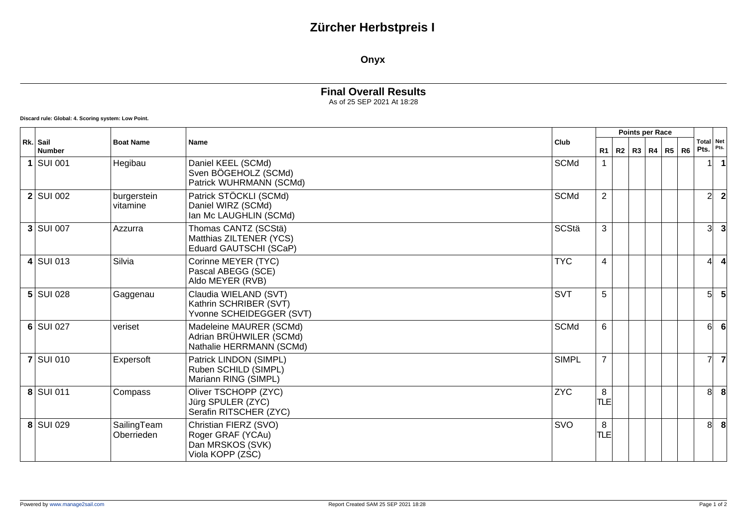## **Zürcher Herbstpreis I**

#### **Onyx**

### **Final Overall Results**

As of 25 SEP 2021 At 18:28

**Discard rule: Global: 4. Scoring system: Low Point.**

| Rk. Sail<br><b>Number</b> | <b>Boat Name</b><br><b>Name</b> |                                                                                    | Points per Race |                 |  |  |                   |  |                |                          |                |
|---------------------------|---------------------------------|------------------------------------------------------------------------------------|-----------------|-----------------|--|--|-------------------|--|----------------|--------------------------|----------------|
|                           |                                 |                                                                                    | Club            | R1              |  |  | R2   R3   R4   R5 |  | R <sub>6</sub> | Total Net<br>Pts.        | Pts.           |
| $1$ SUI 001               | Hegibau                         | Daniel KEEL (SCMd)<br>Sven BÖGEHOLZ (SCMd)<br>Patrick WUHRMANN (SCMd)              | <b>SCMd</b>     |                 |  |  |                   |  |                |                          |                |
| $2$ SUI 002               | burgerstein<br>vitamine         | Patrick STÖCKLI (SCMd)<br>Daniel WIRZ (SCMd)<br>Ian Mc LAUGHLIN (SCMd)             | <b>SCMd</b>     | $\overline{2}$  |  |  |                   |  |                | $\overline{2}$           | $\overline{2}$ |
| $3$ SUI 007               | Azzurra                         | Thomas CANTZ (SCStä)<br>Matthias ZILTENER (YCS)<br>Eduard GAUTSCHI (SCaP)          | <b>SCStä</b>    | 3               |  |  |                   |  |                | 3                        |                |
| $4$ SUI 013               | Silvia                          | Corinne MEYER (TYC)<br>Pascal ABEGG (SCE)<br>Aldo MEYER (RVB)                      | <b>TYC</b>      | $\overline{4}$  |  |  |                   |  |                | $\overline{\mathcal{L}}$ |                |
| $5$ SUI 028               | Gaggenau                        | Claudia WIELAND (SVT)<br>Kathrin SCHRIBER (SVT)<br>Yvonne SCHEIDEGGER (SVT)        | <b>SVT</b>      | 5               |  |  |                   |  |                | 5                        |                |
| 6 SUI 027                 | veriset                         | Madeleine MAURER (SCMd)<br>Adrian BRÜHWILER (SCMd)<br>Nathalie HERRMANN (SCMd)     | <b>SCMd</b>     | 6               |  |  |                   |  |                | 61                       |                |
| <b>7 SUI 010</b>          | Expersoft                       | Patrick LINDON (SIMPL)<br>Ruben SCHILD (SIMPL)<br>Mariann RING (SIMPL)             | <b>SIMPL</b>    | $\overline{7}$  |  |  |                   |  |                | $\overline{7}$           | 7              |
| 8 SUI 011                 | Compass                         | Oliver TSCHOPP (ZYC)<br>Jürg SPULER (ZYC)<br>Serafin RITSCHER (ZYC)                | <b>ZYC</b>      | 8<br>lTLEI      |  |  |                   |  |                | 8 <sup>1</sup>           | -8             |
| 8 SUI 029                 | SailingTeam<br>Oberrieden       | Christian FIERZ (SVO)<br>Roger GRAF (YCAu)<br>Dan MRSKOS (SVK)<br>Viola KOPP (ZSC) | SVO             | 8<br><b>TLE</b> |  |  |                   |  |                | 8                        | -8             |